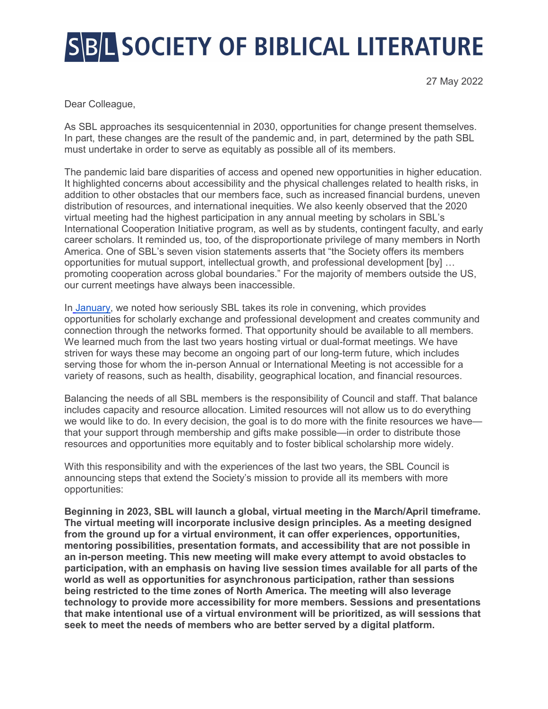## SBL SOCIETY OF BIBLICAL LITERATURE

27 May 2022

Dear Colleague,

As SBL approaches its sesquicentennial in 2030, opportunities for change present themselves. In part, these changes are the result of the pandemic and, in part, determined by the path SBL must undertake in order to serve as equitably as possible all of its members.

The pandemic laid bare disparities of access and opened new opportunities in higher education. It highlighted concerns about accessibility and the physical challenges related to health risks, in addition to other obstacles that our members face, such as increased financial burdens, uneven distribution of resources, and international inequities. We also keenly observed that the 2020 virtual meeting had the highest participation in any annual meeting by scholars in SBL's International Cooperation Initiative program, as well as by students, contingent faculty, and early career scholars. It reminded us, too, of the disproportionate privilege of many members in North America. One of SBL's seven vision statements asserts that "the Society offers its members opportunities for mutual support, intellectual growth, and professional development [by] … promoting cooperation across global boundaries." For the majority of members outside the US, our current meetings have always been inaccessible.

I[n](https://sbl-site.org/assets/pdfs/LettertoMembers25Jan2022.pdf) [January,](https://sbl-site.org/assets/pdfs/LettertoMembers25Jan2022.pdf) we noted how seriously SBL takes its role in convening, which provides opportunities for scholarly exchange and professional development and creates community and connection through the networks formed. That opportunity should be available to all members. We learned much from the last two years hosting virtual or dual-format meetings. We have striven for ways these may become an ongoing part of our long-term future, which includes serving those for whom the in-person Annual or International Meeting is not accessible for a variety of reasons, such as health, disability, geographical location, and financial resources.

Balancing the needs of all SBL members is the responsibility of Council and staff. That balance includes capacity and resource allocation. Limited resources will not allow us to do everything we would like to do. In every decision, the goal is to do more with the finite resources we have that your support through membership and gifts make possible—in order to distribute those resources and opportunities more equitably and to foster biblical scholarship more widely.

With this responsibility and with the experiences of the last two years, the SBL Council is announcing steps that extend the Society's mission to provide all its members with more opportunities:

**Beginning in 2023, SBL will launch a global, virtual meeting in the March/April timeframe. The virtual meeting will incorporate inclusive design principles. As a meeting designed from the ground up for a virtual environment, it can offer experiences, opportunities, mentoring possibilities, presentation formats, and accessibility that are not possible in an in-person meeting. This new meeting will make every attempt to avoid obstacles to participation, with an emphasis on having live session times available for all parts of the world as well as opportunities for asynchronous participation, rather than sessions being restricted to the time zones of North America. The meeting will also leverage technology to provide more accessibility for more members. Sessions and presentations that make intentional use of a virtual environment will be prioritized, as will sessions that seek to meet the needs of members who are better served by a digital platform.**